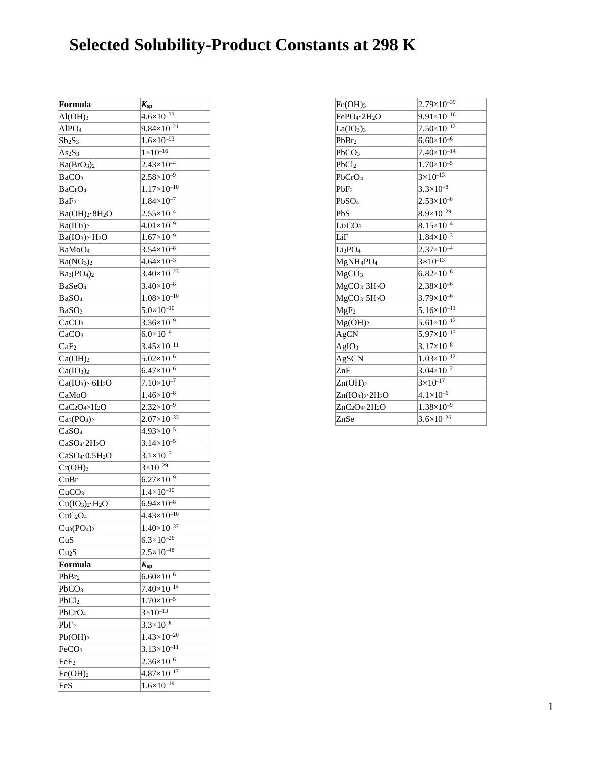## **Selected Solubility-Product Constants at 298 K**

| Formula                                           | $K_{\rm sp}$           |
|---------------------------------------------------|------------------------|
| $Al(OH)_3$                                        | $4.6 \times 10^{-33}$  |
| AlPO <sub>4</sub>                                 | $9.84\times10^{-21}$   |
| $Sb_2S_3$                                         | $1.6\times10^{-93}$    |
| As <sub>2</sub> S <sub>3</sub>                    | $1 \times 10^{-16}$    |
| Ba(BrO <sub>3</sub> ) <sub>2</sub>                | $2.43\times10^{-4}$    |
| BaCO <sub>3</sub>                                 | $2.58\times10^{-9}$    |
| BaCrO <sub>4</sub>                                | $1.17\times10^{-10}$   |
| BaF <sub>2</sub>                                  | $1.84\times10^{-7}$    |
| Ba(OH) <sub>2</sub> ·8H <sub>2</sub> O            | $2.55 \times 10^{-4}$  |
| Ba(IO <sub>3</sub> ) <sub>2</sub>                 | $4.01\times10^{-9}$    |
| $Ba(IO3)2·H2O$                                    | $1.67\times10^{-9}$    |
| BaMoO <sub>4</sub>                                | $3.54\times10^{-8}$    |
| Ba(NO <sub>3</sub> ) <sub>2</sub>                 | $4.64\times10^{-3}$    |
| $Ba3(PO4)2$                                       | $3.40\times10^{-23}$   |
| BaSeO <sub>4</sub>                                | $3.40\times10^{-8}$    |
| BaSO <sub>4</sub>                                 | $1.08\times10^{-10}$   |
| BaSO <sub>3</sub>                                 | $5.0\times10^{-10}$    |
| CaCO <sub>3</sub>                                 | $3.36\times10^{-9}$    |
| CaCO <sub>3</sub>                                 | $6.0\times10^{-9}$     |
| CaF <sub>2</sub>                                  | $3.45 \times 10^{-11}$ |
| Ca(OH) <sub>2</sub>                               | $5.02\times10^{-6}$    |
| Ca(IO <sub>3</sub> ) <sub>2</sub>                 | $6.47\times10^{-6}$    |
| $Ca(IO3)2·6H2O$                                   | $7.10\times10^{-7}$    |
| CaMoO                                             | $1.46\times10^{-8}$    |
| CaC <sub>2</sub> O <sub>4</sub> ×H <sub>2</sub> O | $2.32\times10^{-9}$    |
| $Ca3(PO4)2$                                       | $2.07\times10^{-33}$   |
| CaSO <sub>4</sub>                                 | $4.93\times10^{-5}$    |
| CaSO <sub>4</sub> ·2H <sub>2</sub> O              | $3.14\times10^{-5}$    |
| CaSO <sub>4</sub> ·0.5H <sub>2</sub> O            | $3.1 \times 10^{-7}$   |
| $Cr(OH)$ <sub>3</sub>                             | $3\times10^{-29}$      |
| CuBr                                              | $6.27\times10^{-9}$    |
| CuCO <sub>3</sub>                                 | $1.4\times10^{-10}$    |
| $Cu(IO3)2·H2O$                                    | $6.94\times10^{-8}$    |
| CuC <sub>2</sub> O <sub>4</sub>                   | $4.43\times10^{-10}$   |
| $Cu3(PO4)2$                                       | $1.40\times10^{-37}$   |
| CuS                                               | $6.3\times10^{-26}$    |
| Cu <sub>2</sub> S                                 | $2.5 \times 10^{-48}$  |
| Formula                                           | $K_{sp}$               |
| PbBr <sub>2</sub>                                 | $6.60\times10^{-6}$    |
| PbCO <sub>3</sub>                                 | $7.40\times10^{-14}$   |
| PbCl <sub>2</sub>                                 | $1.70\times10^{-5}$    |
| PbCrO <sub>4</sub>                                | $3\times10^{-13}$      |
| PbF <sub>2</sub>                                  | $3.3\times10^{-8}$     |
| Pb(OH) <sub>2</sub>                               | $1.43\times10^{-20}$   |
| FeCO <sub>3</sub>                                 | $3.13\times10^{-11}$   |
| FeF <sub>2</sub>                                  | $2.36\times10^{-6}$    |
| Fe(OH) <sub>2</sub>                               | $4.87\times10^{-17}$   |
| FeS                                               | $1.6 \times 10^{-19}$  |

| $Fe(OH)$ <sub>3</sub>                | $2.79\times10^{-39}$ |
|--------------------------------------|----------------------|
| FePO <sub>4</sub> .2H <sub>2</sub> O | $9.91\times10^{-16}$ |
| La(IO <sub>3</sub> ) <sub>3</sub>    | $7.50\times10^{-12}$ |
| PbBr <sub>2</sub>                    | $6.60\times10^{-6}$  |
| PbCO <sub>3</sub>                    | $7.40\times10^{-14}$ |
| PbC <sub>12</sub>                    | $1.70\times10^{-5}$  |
| PbCrO <sub>4</sub>                   | $3\times10^{-13}$    |
| PbF <sub>2</sub>                     | $3.3\times10^{-8}$   |
| PbSO <sub>4</sub>                    | $2.53\times10^{-8}$  |
| PbS                                  | $8.9\times10^{-29}$  |
| Li <sub>2</sub> CO <sub>3</sub>      | $8.15\times10^{-4}$  |
| LiF                                  | $1.84\times10^{-3}$  |
| Li3PO4                               | $2.37\times10^{-4}$  |
| MgNH <sub>4</sub> PO <sub>4</sub>    | $3\times10^{-13}$    |
| MgCO <sub>3</sub>                    | $6.82\times10^{-6}$  |
| MgCO <sub>3</sub> ·3H <sub>2</sub> O | $2.38\times10^{-6}$  |
| MgCO <sub>3</sub> ·5H <sub>2</sub> O | $3.79\times10^{-6}$  |
| MgF <sub>2</sub>                     | $5.16\times10^{-11}$ |
| $Mg(OH)_2$                           | $5.61\times10^{-12}$ |
| AgCN                                 | $5.97\times10^{-17}$ |
| AgIO <sub>3</sub>                    | $3.17\times10^{-8}$  |
| AgSCN                                | $1.03\times10^{-12}$ |
| ZnF                                  | $3.04\times10^{-2}$  |
| Zn(OH) <sub>2</sub>                  | $3\times10^{-17}$    |
| $Zn(IO_3)_2 \cdot 2H_2O$             | $4.1 \times 10^{-6}$ |
| $ZnC_2O_4 \cdot 2H_2O$               | $1.38\times10^{-9}$  |
| ZnSe                                 | $3.6\times10^{-26}$  |
|                                      |                      |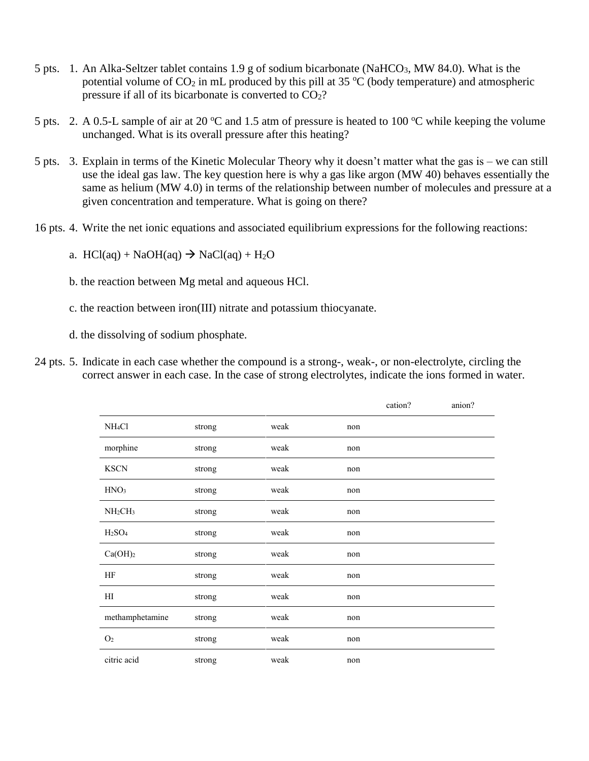- 5 pts. 1. An Alka-Seltzer tablet contains 1.9 g of sodium bicarbonate (NaHCO<sub>3</sub>, MW 84.0). What is the potential volume of  $CO_2$  in mL produced by this pill at 35  $\degree$ C (body temperature) and atmospheric pressure if all of its bicarbonate is converted to CO2?
- 5 pts. 2. A 0.5-L sample of air at 20  $^{\circ}$ C and 1.5 atm of pressure is heated to 100  $^{\circ}$ C while keeping the volume unchanged. What is its overall pressure after this heating?
- 5 pts. 3. Explain in terms of the Kinetic Molecular Theory why it doesn't matter what the gas is we can still use the ideal gas law. The key question here is why a gas like argon (MW 40) behaves essentially the same as helium (MW 4.0) in terms of the relationship between number of molecules and pressure at a given concentration and temperature. What is going on there?
- 16 pts. 4. Write the net ionic equations and associated equilibrium expressions for the following reactions:
	- a.  $HCl(aq) + NaOH(aq) \rightarrow NaCl(aq) + H_2O$
	- b. the reaction between Mg metal and aqueous HCl.
	- c. the reaction between iron(III) nitrate and potassium thiocyanate.
	- d. the dissolving of sodium phosphate.
- 24 pts. 5. Indicate in each case whether the compound is a strong-, weak-, or non-electrolyte, circling the correct answer in each case. In the case of strong electrolytes, indicate the ions formed in water.

|                                 |        |      |     | cation? | anion? |
|---------------------------------|--------|------|-----|---------|--------|
| NH <sub>4</sub> Cl              | strong | weak | non |         |        |
| morphine                        | strong | weak | non |         |        |
| <b>KSCN</b>                     | strong | weak | non |         |        |
| HNO <sub>3</sub>                | strong | weak | non |         |        |
| NH <sub>2</sub> CH <sub>3</sub> | strong | weak | non |         |        |
| H <sub>2</sub> SO <sub>4</sub>  | strong | weak | non |         |        |
| Ca(OH) <sub>2</sub>             | strong | weak | non |         |        |
| HF                              | strong | weak | non |         |        |
| H                               | strong | weak | non |         |        |
| methamphetamine                 | strong | weak | non |         |        |
| O <sub>2</sub>                  | strong | weak | non |         |        |
| citric acid                     | strong | weak | non |         |        |